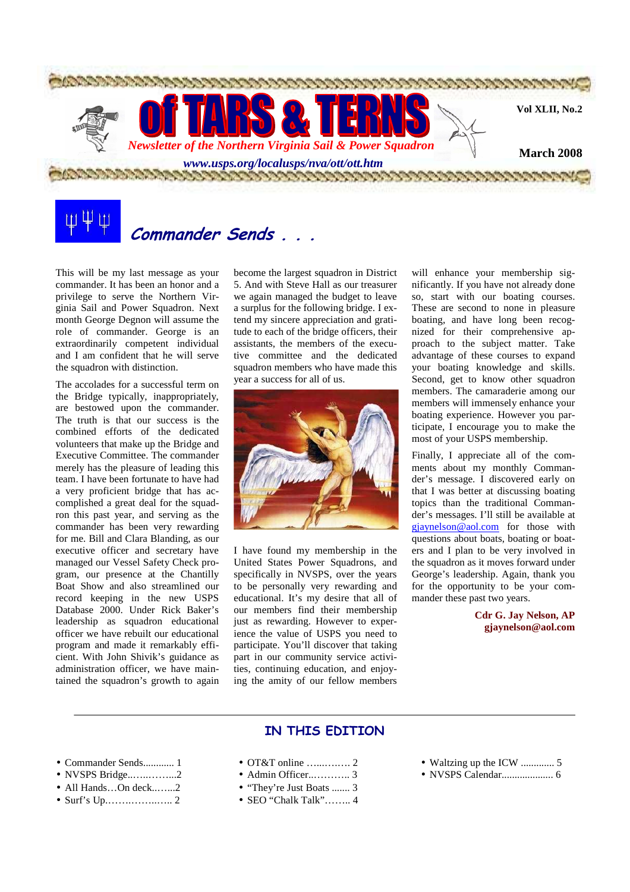

# **Commander Sends . . .**

This will be my last message as your commander. It has been an honor and a privilege to serve the Northern Virginia Sail and Power Squadron. Next month George Degnon will assume the role of commander. George is an extraordinarily competent individual and I am confident that he will serve the squadron with distinction.

The accolades for a successful term on the Bridge typically, inappropriately, are bestowed upon the commander. The truth is that our success is the combined efforts of the dedicated volunteers that make up the Bridge and Executive Committee. The commander merely has the pleasure of leading this team. I have been fortunate to have had a very proficient bridge that has accomplished a great deal for the squadron this past year, and serving as the commander has been very rewarding for me. Bill and Clara Blanding, as our executive officer and secretary have managed our Vessel Safety Check program, our presence at the Chantilly Boat Show and also streamlined our record keeping in the new USPS Database 2000. Under Rick Baker's leadership as squadron educational officer we have rebuilt our educational program and made it remarkably efficient. With John Shivik's guidance as administration officer, we have maintained the squadron's growth to again

become the largest squadron in District 5. And with Steve Hall as our treasurer we again managed the budget to leave a surplus for the following bridge. I extend my sincere appreciation and gratitude to each of the bridge officers, their assistants, the members of the executive committee and the dedicated squadron members who have made this year a success for all of us.



I have found my membership in the United States Power Squadrons, and specifically in NVSPS, over the years to be personally very rewarding and educational. It's my desire that all of our members find their membership just as rewarding. However to experience the value of USPS you need to participate. You'll discover that taking part in our community service activities, continuing education, and enjoying the amity of our fellow members

will enhance your membership significantly. If you have not already done so, start with our boating courses. These are second to none in pleasure boating, and have long been recognized for their comprehensive approach to the subject matter. Take advantage of these courses to expand your boating knowledge and skills. Second, get to know other squadron members. The camaraderie among our members will immensely enhance your boating experience. However you participate, I encourage you to make the most of your USPS membership.

Finally, I appreciate all of the comments about my monthly Commander's message. I discovered early on that I was better at discussing boating topics than the traditional Commander's messages. I'll still be available at gjaynelson@aol.com for those with questions about boats, boating or boaters and I plan to be very involved in the squadron as it moves forward under George's leadership. Again, thank you for the opportunity to be your commander these past two years.

> **Cdr G. Jay Nelson, AP gjaynelson@aol.com**

### **IN THIS EDITION**

- Commander Sends............ 1
- NVSPS Bridge..…..……...2
- All Hands…On deck..…...2
- Surf's Up.…….……..….. 2
- OT&T online  $\overline{2}$
- Admin Officer..……….. 3
- "They're Just Boats ....... 3
- SEO "Chalk Talk"…….. 4
- Waltzing up the ICW ............. 5
- NVSPS Calendar.................... 6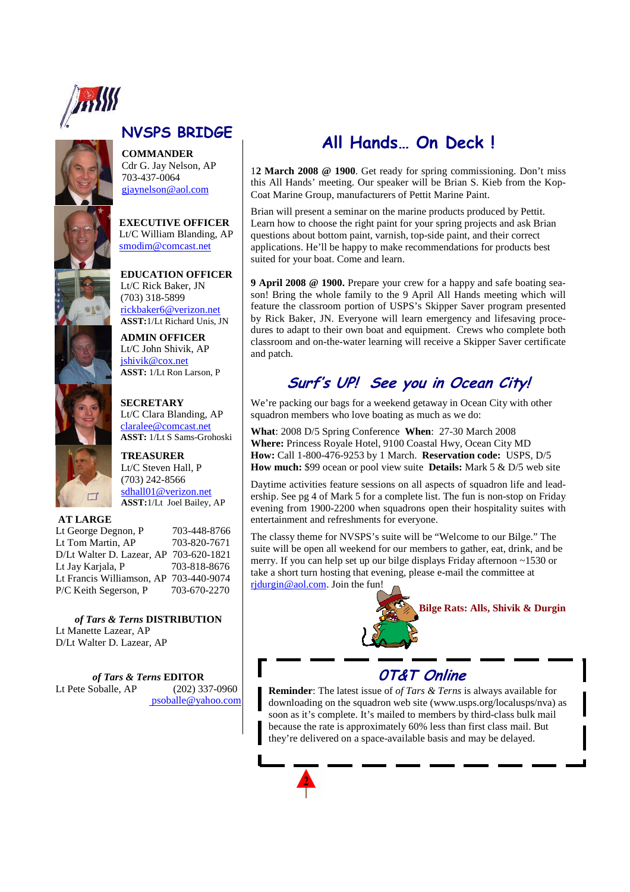

# **NVSPS BRIDGE**

**COMMANDER**  Cdr G. Jay Nelson, AP 703-437-0064 gjaynelson@aol.com

**EXECUTIVE OFFICER**  Lt/C William Blanding, AP smodim@comcast.net

**EDUCATION OFFICER**  Lt/C Rick Baker, JN (703) 318-5899 rickbaker6@verizon.net **ASST:**1/Lt Richard Unis, JN

**ADMIN OFFICER**  Lt/C John Shivik, AP jshivik@cox.net **ASST:** 1/Lt Ron Larson, P

**SECRETARY** 



Lt/C Clara Blanding, AP claralee@comcast.net **ASST:** 1/Lt S Sams-Grohoski **TREASURER**

Lt/C Steven Hall, P (703) 242-8566 sdhall01@verizon.net **ASST:**1/Lt Joel Bailey, AP

### **AT LARGE**

Lt George Degnon, P 703-448-8766 Lt Tom Martin, AP 703-820-7671 D/Lt Walter D. Lazear, AP 703-620-1821 Lt Jav Kariala, P Lt Francis Williamson, AP 703-440-9074<br>P/C Keith Segerson, P 703-670-2270 P/C Keith Segerson, P

*of Tars & Terns* **DISTRIBUTION**  Lt Manette Lazear, AP D/Lt Walter D. Lazear, AP

*of Tars & Terns* **EDITOR**<br>
Soballe, AP (202) 337-0960 Lt Pete Soballe, AP psoballe@yahoo.com

# **All Hands… On Deck !**

1**2 March 2008 @ 1900**. Get ready for spring commissioning. Don't miss this All Hands' meeting. Our speaker will be Brian S. Kieb from the Kop-Coat Marine Group, manufacturers of Pettit Marine Paint.

Brian will present a seminar on the marine products produced by Pettit. Learn how to choose the right paint for your spring projects and ask Brian questions about bottom paint, varnish, top-side paint, and their correct applications. He'll be happy to make recommendations for products best suited for your boat. Come and learn.

**9 April 2008 @ 1900.** Prepare your crew for a happy and safe boating season! Bring the whole family to the 9 April All Hands meeting which will feature the classroom portion of USPS's Skipper Saver program presented by Rick Baker, JN. Everyone will learn emergency and lifesaving procedures to adapt to their own boat and equipment. Crews who complete both classroom and on-the-water learning will receive a Skipper Saver certificate and patch.

# **Surf's UP! See you in Ocean City!**

We're packing our bags for a weekend getaway in Ocean City with other squadron members who love boating as much as we do:

**What**: 2008 D/5 Spring Conference **When**: 27-30 March 2008 **Where:** Princess Royale Hotel, 9100 Coastal Hwy, Ocean City MD **How:** Call 1-800-476-9253 by 1 March. **Reservation code:** USPS, D/5 **How much:** \$99 ocean or pool view suite **Details:** Mark 5 & D/5 web site

Daytime activities feature sessions on all aspects of squadron life and leadership. See pg 4 of Mark 5 for a complete list. The fun is non-stop on Friday evening from 1900-2200 when squadrons open their hospitality suites with entertainment and refreshments for everyone.

The classy theme for NVSPS's suite will be "Welcome to our Bilge." The suite will be open all weekend for our members to gather, eat, drink, and be merry. If you can help set up our bilge displays Friday afternoon ~1530 or take a short turn hosting that evening, please e-mail the committee at ridurgin@aol.com. Join the fun!



## **0T&T Online**

**Reminder**: The latest issue of *of Tars & Terns* is always available for downloading on the squadron web site (www.usps.org/localusps/nva) as soon as it's complete. It's mailed to members by third-class bulk mail because the rate is approximately 60% less than first class mail. But they're delivered on a space-available basis and may be delayed.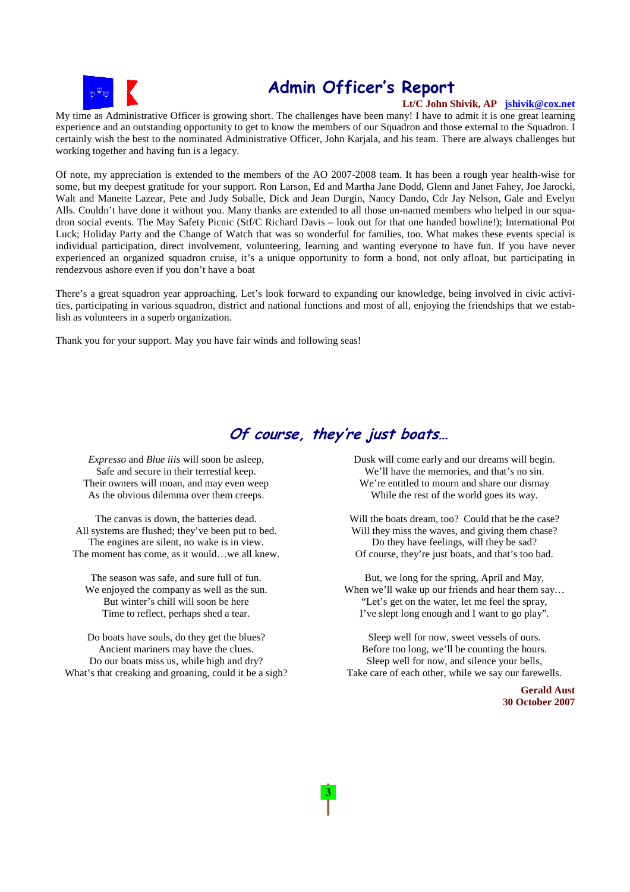

# **Admin Officer's Report**

### **Lt/C John Shivik, AP jshivik@cox.net**

My time as Administrative Officer is growing short. The challenges have been many! I have to admit it is one great learning experience and an outstanding opportunity to get to know the members of our Squadron and those external to the Squadron. I certainly wish the best to the nominated Administrative Officer, John Karjala, and his team. There are always challenges but working together and having fun is a legacy.

Of note, my appreciation is extended to the members of the AO 2007-2008 team. It has been a rough year health-wise for some, but my deepest gratitude for your support. Ron Larson, Ed and Martha Jane Dodd, Glenn and Janet Fahey, Joe Jarocki, Walt and Manette Lazear, Pete and Judy Soballe, Dick and Jean Durgin, Nancy Dando, Cdr Jay Nelson, Gale and Evelyn Alls. Couldn't have done it without you. Many thanks are extended to all those un-named members who helped in our squadron social events. The May Safety Picnic (Stf/C Richard Davis – look out for that one handed bowline!); International Pot Luck; Holiday Party and the Change of Watch that was so wonderful for families, too. What makes these events special is individual participation, direct involvement, volunteering, learning and wanting everyone to have fun. If you have never experienced an organized squadron cruise, it's a unique opportunity to form a bond, not only afloat, but participating in rendezvous ashore even if you don't have a boat

There's a great squadron year approaching. Let's look forward to expanding our knowledge, being involved in civic activities, participating in various squadron, district and national functions and most of all, enjoying the friendships that we establish as volunteers in a superb organization.

Thank you for your support. May you have fair winds and following seas!

### **Of course, they're just boats…**

*Expresso* and *Blue iiis* will soon be asleep, Safe and secure in their terrestial keep. Their owners will moan, and may even weep As the obvious dilemma over them creeps.

The canvas is down, the batteries dead. All systems are flushed; they've been put to bed. The engines are silent, no wake is in view. The moment has come, as it would…we all knew.

The season was safe, and sure full of fun. We enjoyed the company as well as the sun. But winter's chill will soon be here Time to reflect, perhaps shed a tear.

Do boats have souls, do they get the blues? Ancient mariners may have the clues. Do our boats miss us, while high and dry? What's that creaking and groaning, could it be a sigh? Dusk will come early and our dreams will begin. We'll have the memories, and that's no sin. We're entitled to mourn and share our dismay While the rest of the world goes its way.

Will the boats dream, too? Could that be the case? Will they miss the waves, and giving them chase? Do they have feelings, will they be sad? Of course, they're just boats, and that's too bad.

But, we long for the spring, April and May, When we'll wake up our friends and hear them say... "Let's get on the water, let me feel the spray, I've slept long enough and I want to go play".

Sleep well for now, sweet vessels of ours. Before too long, we'll be counting the hours. Sleep well for now, and silence your bells, Take care of each other, while we say our farewells.

> **Gerald Aust 30 October 2007**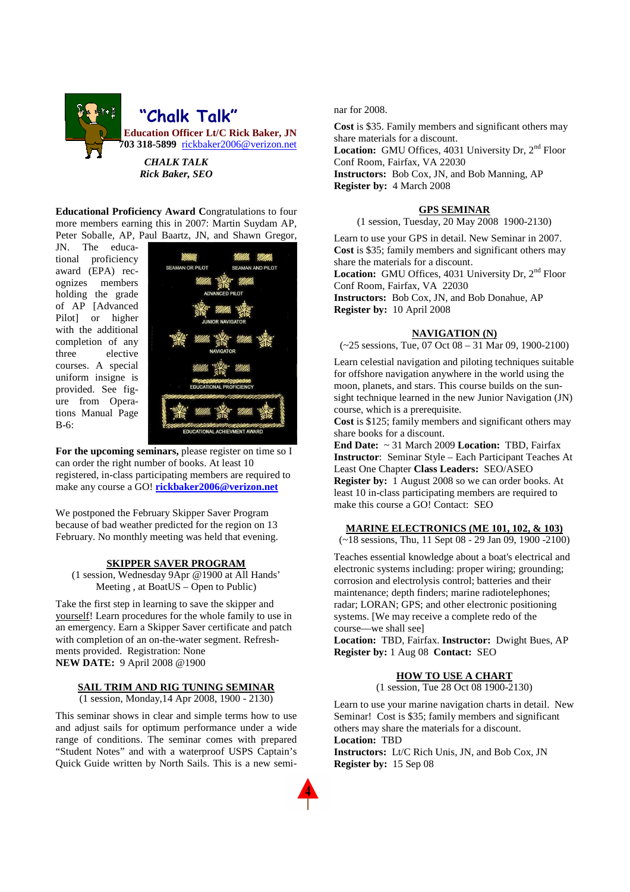

**Educational Proficiency Award C**ongratulations to four more members earning this in 2007: Martin Suydam AP, Peter Soballe, AP, Paul Baartz, JN, and Shawn Gregor,

JN. The educational proficiency award (EPA) recognizes members holding the grade of AP [Advanced Pilot] or higher with the additional completion of any three elective courses. A special uniform insigne is provided. See figure from Operations Manual Page B-6:



**For the upcoming seminars,** please register on time so I can order the right number of books. At least 10 registered, in-class participating members are required to make any course a GO! **rickbaker2006@verizon.net**

We postponed the February Skipper Saver Program because of bad weather predicted for the region on 13 February. No monthly meeting was held that evening.

#### **SKIPPER SAVER PROGRAM**

(1 session, Wednesday 9Apr @1900 at All Hands' Meeting , at BoatUS – Open to Public)

Take the first step in learning to save the skipper and yourself! Learn procedures for the whole family to use in an emergency. Earn a Skipper Saver certificate and patch with completion of an on-the-water segment. Refreshments provided. Registration: None **NEW DATE:** 9 April 2008 @1900

### **SAIL TRIM AND RIG TUNING SEMINAR**

(1 session, Monday,14 Apr 2008, 1900 - 2130)

This seminar shows in clear and simple terms how to use and adjust sails for optimum performance under a wide range of conditions. The seminar comes with prepared "Student Notes" and with a waterproof USPS Captain's Quick Guide written by North Sails. This is a new seminar for 2008.

**Cost** is \$35. Family members and significant others may share materials for a discount. Location: GMU Offices, 4031 University Dr, 2<sup>nd</sup> Floor Conf Room, Fairfax, VA 22030 **Instructors:** Bob Cox, JN, and Bob Manning, AP **Register by:** 4 March 2008

#### **GPS SEMINAR**

(1 session, Tuesday, 20 May 2008 1900-2130)

Learn to use your GPS in detail. New Seminar in 2007. **Cost** is \$35; family members and significant others may share the materials for a discount. Location: GMU Offices, 4031 University Dr, 2<sup>nd</sup> Floor Conf Room, Fairfax, VA 22030 **Instructors:** Bob Cox, JN, and Bob Donahue, AP **Register by:** 10 April 2008

#### **NAVIGATION (N)**

 $(-25$  sessions, Tue,  $\overline{07}$  Oct  $08 - 31$  Mar 09, 1900-2100)

Learn celestial navigation and piloting techniques suitable for offshore navigation anywhere in the world using the moon, planets, and stars. This course builds on the sunsight technique learned in the new Junior Navigation (JN) course, which is a prerequisite.

**Cost** is \$125; family members and significant others may share books for a discount.

**End Date:** ~ 31 March 2009 **Location:** TBD, Fairfax **Instructor**: Seminar Style – Each Participant Teaches At Least One Chapter **Class Leaders:** SEO/ASEO **Register by:** 1 August 2008 so we can order books. At least 10 in-class participating members are required to make this course a GO! Contact: SEO

#### **MARINE ELECTRONICS (ME 101, 102, & 103)**

(~18 sessions, Thu, 11 Sept 08 - 29 Jan 09, 1900 -2100)

Teaches essential knowledge about a boat's electrical and electronic systems including: proper wiring; grounding; corrosion and electrolysis control; batteries and their maintenance; depth finders; marine radiotelephones; radar; LORAN; GPS; and other electronic positioning systems. [We may receive a complete redo of the course—we shall see]

**Location:** TBD, Fairfax. **Instructor:** Dwight Bues, AP **Register by:** 1 Aug 08 **Contact:** SEO

#### **HOW TO USE A CHART**

(1 session, Tue 28 Oct 08 1900-2130)

Learn to use your marine navigation charts in detail. New Seminar! Cost is \$35; family members and significant others may share the materials for a discount. **Location:** TBD

**Instructors:** Lt/C Rich Unis, JN, and Bob Cox, JN **Register by:** 15 Sep 08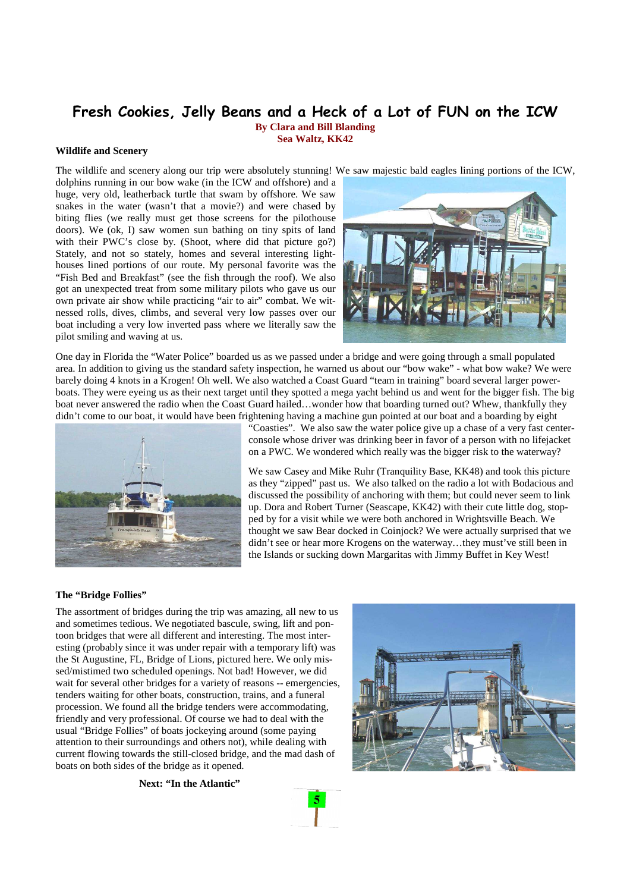### **Fresh Cookies, Jelly Beans and a Heck of a Lot of FUN on the ICW**

**By Clara and Bill Blanding Sea Waltz, KK42** 

**Wildlife and Scenery**

The wildlife and scenery along our trip were absolutely stunning! We saw majestic bald eagles lining portions of the ICW,

dolphins running in our bow wake (in the ICW and offshore) and a huge, very old, leatherback turtle that swam by offshore. We saw snakes in the water (wasn't that a movie?) and were chased by biting flies (we really must get those screens for the pilothouse doors). We (ok, I) saw women sun bathing on tiny spits of land with their PWC's close by. (Shoot, where did that picture go?) Stately, and not so stately, homes and several interesting lighthouses lined portions of our route. My personal favorite was the "Fish Bed and Breakfast" (see the fish through the roof). We also got an unexpected treat from some military pilots who gave us our own private air show while practicing "air to air" combat. We witnessed rolls, dives, climbs, and several very low passes over our boat including a very low inverted pass where we literally saw the pilot smiling and waving at us.



One day in Florida the "Water Police" boarded us as we passed under a bridge and were going through a small populated area. In addition to giving us the standard safety inspection, he warned us about our "bow wake" - what bow wake? We were barely doing 4 knots in a Krogen! Oh well. We also watched a Coast Guard "team in training" board several larger powerboats. They were eyeing us as their next target until they spotted a mega yacht behind us and went for the bigger fish. The big boat never answered the radio when the Coast Guard hailed…wonder how that boarding turned out? Whew, thankfully they didn't come to our boat, it would have been frightening having a machine gun pointed at our boat and a boarding by eight



"Coasties". We also saw the water police give up a chase of a very fast centerconsole whose driver was drinking beer in favor of a person with no lifejacket on a PWC. We wondered which really was the bigger risk to the waterway?

We saw Casey and Mike Ruhr (Tranquility Base, KK48) and took this picture as they "zipped" past us. We also talked on the radio a lot with Bodacious and discussed the possibility of anchoring with them; but could never seem to link up. Dora and Robert Turner (Seascape, KK42) with their cute little dog, stopped by for a visit while we were both anchored in Wrightsville Beach. We thought we saw Bear docked in Coinjock? We were actually surprised that we didn't see or hear more Krogens on the waterway…they must've still been in the Islands or sucking down Margaritas with Jimmy Buffet in Key West!

#### **The "Bridge Follies"**

The assortment of bridges during the trip was amazing, all new to us and sometimes tedious. We negotiated bascule, swing, lift and pontoon bridges that were all different and interesting. The most interesting (probably since it was under repair with a temporary lift) was the St Augustine, FL, Bridge of Lions, pictured here. We only missed/mistimed two scheduled openings. Not bad! However, we did wait for several other bridges for a variety of reasons -- emergencies, tenders waiting for other boats, construction, trains, and a funeral procession. We found all the bridge tenders were accommodating, friendly and very professional. Of course we had to deal with the usual "Bridge Follies" of boats jockeying around (some paying attention to their surroundings and others not), while dealing with current flowing towards the still-closed bridge, and the mad dash of boats on both sides of the bridge as it opened.

**Next: "In the Atlantic"** 

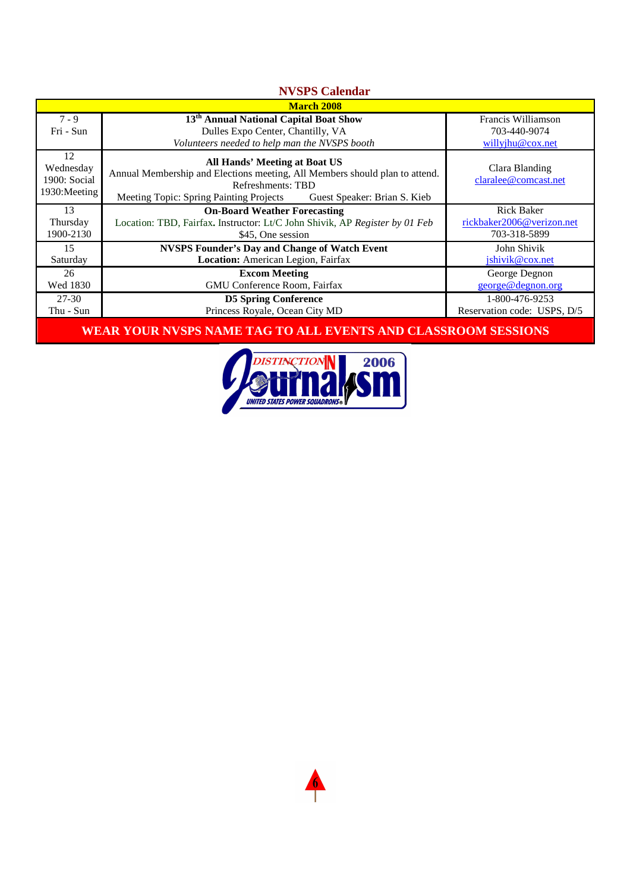| <b>NVSPS Calendar</b>                            |                                                                                                                                                                                                                                                            |                                                            |
|--------------------------------------------------|------------------------------------------------------------------------------------------------------------------------------------------------------------------------------------------------------------------------------------------------------------|------------------------------------------------------------|
| <b>March 2008</b>                                |                                                                                                                                                                                                                                                            |                                                            |
| $7 - 9$                                          | 13 <sup>th</sup> Annual National Capital Boat Show                                                                                                                                                                                                         | Francis Williamson                                         |
| Fri - Sun                                        | Dulles Expo Center, Chantilly, VA                                                                                                                                                                                                                          | 703-440-9074                                               |
| 12<br>Wednesday<br>1900: Social<br>1930: Meeting | Volunteers needed to help man the NVSPS booth<br>All Hands' Meeting at Boat US<br>Annual Membership and Elections meeting, All Members should plan to attend.<br>Refreshments: TBD<br>Meeting Topic: Spring Painting Projects Guest Speaker: Brian S. Kieb | willyjhu@cox.net<br>Clara Blanding<br>claralee@comcast.net |
| 13                                               | <b>On-Board Weather Forecasting</b>                                                                                                                                                                                                                        | <b>Rick Baker</b>                                          |
| Thursday                                         | Location: TBD, Fairfax. Instructor: Lt/C John Shivik, AP Register by 01 Feb                                                                                                                                                                                | rickbaker2006@verizon.net                                  |
| 1900-2130                                        | \$45, One session                                                                                                                                                                                                                                          | 703-318-5899                                               |
| 15                                               | <b>NVSPS Founder's Day and Change of Watch Event</b>                                                                                                                                                                                                       | John Shivik                                                |
| Saturday                                         | Location: American Legion, Fairfax                                                                                                                                                                                                                         | jshivik@cox.net                                            |
| 26                                               | <b>Excom Meeting</b>                                                                                                                                                                                                                                       | George Degnon                                              |
| Wed 1830                                         | GMU Conference Room, Fairfax                                                                                                                                                                                                                               | george@degnon.org                                          |
| 27-30                                            | <b>D5 Spring Conference</b>                                                                                                                                                                                                                                | 1-800-476-9253                                             |
| Thu - Sun                                        | Princess Royale, Ocean City MD                                                                                                                                                                                                                             | Reservation code: USPS, D/5                                |